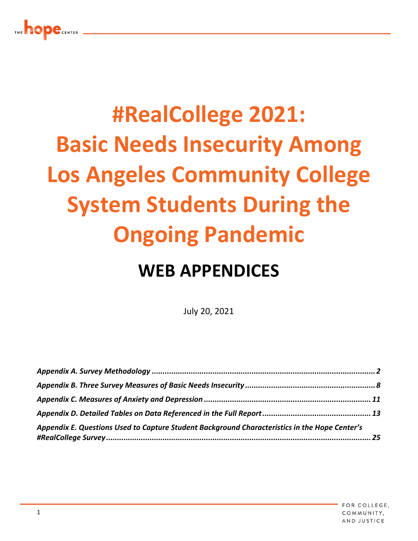# **#RealCollege 2021: Basic Needs Insecurity Among Los Angeles Community College System Students During the Ongoing Pandemic**

## **WEB APPENDICES**

July 20, 2021

| Appendix E. Questions Used to Capture Student Background Characteristics in the Hope Center's |  |
|-----------------------------------------------------------------------------------------------|--|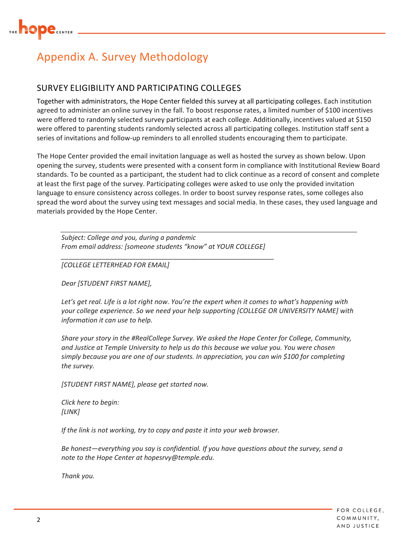

### Appendix A. Survey Methodology

#### SURVEY ELIGIBILITY AND PARTICIPATING COLLEGES

Together with administrators, the Hope Center fielded this survey at all participating colleges. Each institution agreed to administer an online survey in the fall. To boost response rates, a limited number of \$100 incentives were offered to randomly selected survey participants at each college. Additionally, incentives valued at \$150 were offered to parenting students randomly selected across all participating colleges. Institution staff sent a series of invitations and follow‐up reminders to all enrolled students encouraging them to participate.

The Hope Center provided the email invitation language as well as hosted the survey as shown below. Upon opening the survey, students were presented with a consent form in compliance with Institutional Review Board standards. To be counted as a participant, the student had to click continue as a record of consent and complete at least the first page of the survey. Participating colleges were asked to use only the provided invitation language to ensure consistency across colleges. In order to boost survey response rates, some colleges also spread the word about the survey using text messages and social media. In these cases, they used language and materials provided by the Hope Center.

*Subject: College and you, during a pandemic From email address: [someone students "know" at YOUR COLLEGE]*

*\_\_\_\_\_\_\_\_\_\_\_\_\_\_\_\_\_\_\_\_\_\_\_\_\_\_\_\_\_\_\_\_\_\_\_\_\_\_\_\_\_\_\_\_\_\_\_\_\_\_\_\_\_\_\_\_\_*

*[COLLEGE LETTERHEAD FOR EMAIL]*

*Dear [STUDENT FIRST NAME],*

Let's get real. Life is a lot right now. You're the expert when it comes to what's happening with *your college experience. So we need your help supporting [COLLEGE OR UNIVERSITY NAME] with information it can use to help.*

*Share your story in the #RealCollege Survey. We asked the Hope Center for College, Community, and Justice at Temple University to help us do this because we value you. You were chosen simply because you are one of our students. In appreciation, you can win \$100 for completing the survey.*

*[STUDENT FIRST NAME], please get started now.*

*Click here to begin: [LINK]*

*If the link is not working, try to copy and paste it into your web browser.* 

*Be honest—everything you say is confidential. If you have questions about the survey, send a note to the Hope Center at hopesrvy@temple.edu.*

*Thank you.*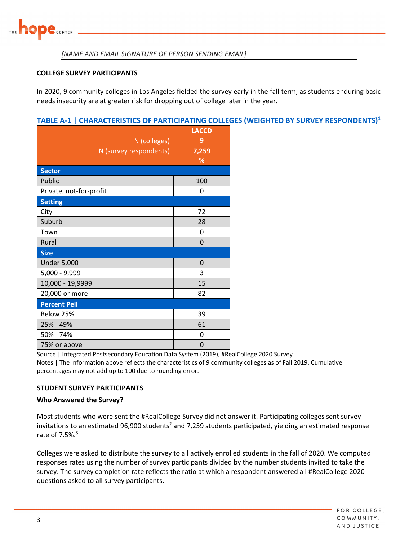

#### *[NAME AND EMAIL SIGNATURE OF PERSON SENDING EMAIL]*

#### **COLLEGE SURVEY PARTICIPANTS**

In 2020, 9 community colleges in Los Angeles fielded the survey early in the fall term, as students enduring basic needs insecurity are at greater risk for dropping out of college later in the year.

#### **TABLE A‐1 | CHARACTERISTICS OF PARTICIPATING COLLEGES (WEIGHTED BY SURVEY RESPONDENTS)1**

|                         | <b>LACCD</b> |
|-------------------------|--------------|
| N (colleges)            | 9            |
| N (survey respondents)  | 7,259        |
|                         | %            |
| <b>Sector</b>           |              |
| Public                  | 100          |
| Private, not-for-profit | 0            |
| <b>Setting</b>          |              |
| City                    | 72           |
| Suburb                  | 28           |
| Town                    | 0            |
| Rural                   | $\Omega$     |
| <b>Size</b>             |              |
| <b>Under 5,000</b>      | 0            |
| $5,000 - 9,999$         | 3            |
| 10,000 - 19,9999        | 15           |
| 20,000 or more          | 82           |
| <b>Percent Pell</b>     |              |
| Below 25%               | 39           |
| 25% - 49%               | 61           |
| 50% - 74%               | 0            |
| 75% or above            | 0            |

Source | Integrated Postsecondary Education Data System (2019), #RealCollege 2020 Survey Notes | The information above reflects the characteristics of 9 community colleges as of Fall 2019. Cumulative percentages may not add up to 100 due to rounding error.

#### **STUDENT SURVEY PARTICIPANTS**

#### **Who Answered the Survey?**

Most students who were sent the #RealCollege Survey did not answer it. Participating colleges sent survey invitations to an estimated 96,900 students<sup>2</sup> and 7,259 students participated, yielding an estimated response rate of  $7.5\%$ <sup>3</sup>

Colleges were asked to distribute the survey to all actively enrolled students in the fall of 2020. We computed responses rates using the number of survey participants divided by the number students invited to take the survey. The survey completion rate reflects the ratio at which a respondent answered all #RealCollege 2020 questions asked to all survey participants.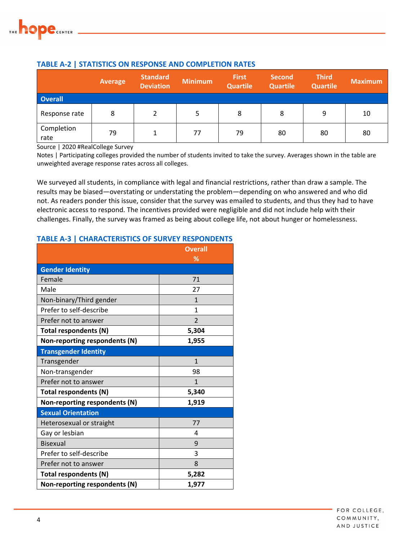

|                    | Average | <b>Standard</b><br><b>Deviation</b> | <b>Minimum</b> | <b>First</b><br><b>Quartile</b> | <b>Second</b><br><b>Quartile</b> | <b>Third</b><br><b>Quartile</b> | <b>Maximum</b> |
|--------------------|---------|-------------------------------------|----------------|---------------------------------|----------------------------------|---------------------------------|----------------|
| <b>Overall</b>     |         |                                     |                |                                 |                                  |                                 |                |
| Response rate      | 8       | າ                                   |                | 8                               | 8                                | 9                               | 10             |
| Completion<br>rate | 79      | 1                                   | 77             | 79                              | 80                               | 80                              | 80             |

#### **TABLE A‐2 | STATISTICS ON RESPONSE AND COMPLETION RATES**

Source | 2020 #RealCollege Survey

Notes | Participating colleges provided the number of students invited to take the survey. Averages shown in the table are unweighted average response rates across all colleges.

We surveyed all students, in compliance with legal and financial restrictions, rather than draw a sample. The results may be biased—overstating or understating the problem—depending on who answered and who did not. As readers ponder this issue, consider that the survey was emailed to students, and thus they had to have electronic access to respond. The incentives provided were negligible and did not include help with their challenges. Finally, the survey was framed as being about college life, not about hunger or homelessness.

#### **TABLE A‐3 | CHARACTERISTICS OF SURVEY RESPONDENTS**

|                               | <b>Overall</b> |
|-------------------------------|----------------|
|                               | %              |
| <b>Gender Identity</b>        |                |
| Female                        | 71             |
| Male                          | 27             |
| Non-binary/Third gender       | $\mathbf{1}$   |
| Prefer to self-describe       | 1              |
| Prefer not to answer          | $\overline{2}$ |
| Total respondents (N)         | 5,304          |
| Non-reporting respondents (N) | 1,955          |
| <b>Transgender Identity</b>   |                |
| Transgender                   | $\mathbf{1}$   |
| Non-transgender               | 98             |
| Prefer not to answer          | $\mathbf{1}$   |
| Total respondents (N)         | 5,340          |
| Non-reporting respondents (N) | 1,919          |
| <b>Sexual Orientation</b>     |                |
| Heterosexual or straight      | 77             |
| Gay or lesbian                | 4              |
| <b>Bisexual</b>               | 9              |
| Prefer to self-describe       | 3              |
| Prefer not to answer          | 8              |
| Total respondents (N)         | 5,282          |
| Non-reporting respondents (N) | 1,977          |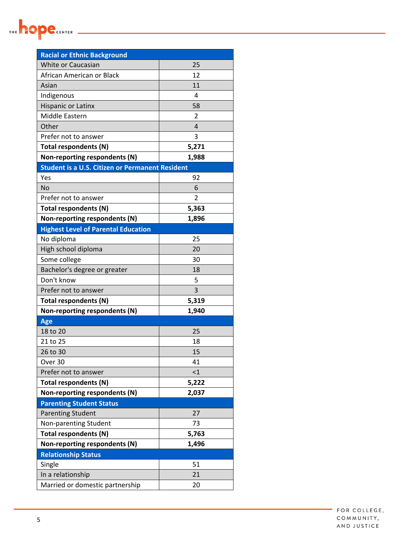

| <b>Racial or Ethnic Background</b>                     |                |
|--------------------------------------------------------|----------------|
| White or Caucasian                                     | 25             |
| African American or Black                              | 12             |
| Asian                                                  | 11             |
| Indigenous                                             | 4              |
| <b>Hispanic or Latinx</b>                              | 58             |
| Middle Eastern                                         | 2              |
| Other                                                  | $\overline{4}$ |
| Prefer not to answer                                   | 3              |
| Total respondents (N)                                  | 5,271          |
| Non-reporting respondents (N)                          | 1,988          |
| <b>Student is a U.S. Citizen or Permanent Resident</b> |                |
| Yes                                                    | 92             |
| <b>No</b>                                              | 6              |
| Prefer not to answer                                   | 2              |
| Total respondents (N)                                  | 5,363          |
| Non-reporting respondents (N)                          | 1,896          |
| <b>Highest Level of Parental Education</b>             |                |
| No diploma                                             | 25             |
| High school diploma                                    | 20             |
| Some college                                           | 30             |
| Bachelor's degree or greater                           | 18             |
| Don't know                                             | 5              |
| Prefer not to answer                                   | 3              |
| Total respondents (N)                                  | 5,319          |
| Non-reporting respondents (N)                          | 1,940          |
| Age                                                    |                |
| 18 to 20                                               | 25             |
| 21 to 25                                               | 18             |
| 26 to 30                                               | 15             |
| Over 30                                                | 41             |
| Prefer not to answer                                   | $\leq$ 1       |
| Total respondents (N)                                  | 5,222          |
| Non-reporting respondents (N)                          | 2,037          |
| <b>Parenting Student Status</b>                        |                |
| <b>Parenting Student</b>                               | 27             |
| Non-parenting Student                                  | 73             |
| Total respondents (N)                                  | 5,763          |
| Non-reporting respondents (N)                          | 1,496          |
| <b>Relationship Status</b>                             |                |
| Single                                                 | 51             |
| In a relationship                                      | 21             |
| Married or domestic partnership                        | 20             |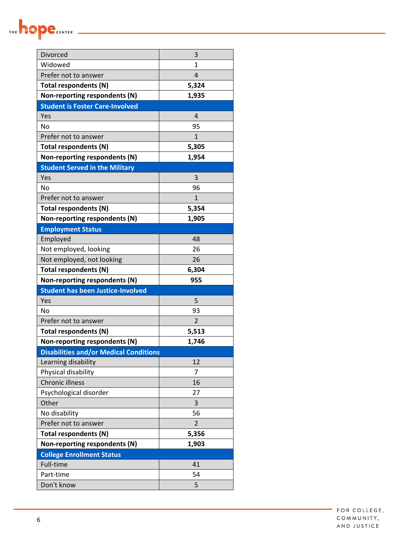

| Divorced                                      | 3              |
|-----------------------------------------------|----------------|
| Widowed                                       | $\mathbf{1}$   |
| Prefer not to answer                          | $\overline{4}$ |
| Total respondents (N)                         | 5,324          |
| Non-reporting respondents (N)                 | 1,935          |
| <b>Student is Foster Care-Involved</b>        |                |
| Yes                                           | 4              |
| <b>No</b>                                     | 95             |
| Prefer not to answer                          | 1              |
| Total respondents (N)                         | 5,305          |
| Non-reporting respondents (N)                 | 1,954          |
| <b>Student Served in the Military</b>         |                |
| Yes                                           | 3              |
| <b>No</b>                                     | 96             |
| Prefer not to answer                          | $\mathbf{1}$   |
| Total respondents (N)                         | 5,354          |
| Non-reporting respondents (N)                 | 1,905          |
| <b>Employment Status</b>                      |                |
| Employed                                      | 48             |
| Not employed, looking                         | 26             |
| Not employed, not looking                     | 26             |
| Total respondents (N)                         | 6,304          |
| Non-reporting respondents (N)                 | 955            |
| <b>Student has been Justice-Involved</b>      |                |
| Yes                                           | 5              |
| <b>No</b>                                     | 93             |
| Prefer not to answer                          | $\overline{2}$ |
| Total respondents (N)                         | 5,513          |
| Non-reporting respondents (N)                 | 1,746          |
| <b>Disabilities and/or Medical Conditions</b> |                |
| Learning disability                           | 12             |
| Physical disability                           | 7              |
| <b>Chronic illness</b>                        | 16             |
| Psychological disorder                        | 27             |
| Other                                         | 3              |
| No disability                                 | 56             |
| Prefer not to answer                          | 2              |
| Total respondents (N)                         | 5,356          |
| Non-reporting respondents (N)                 | 1,903          |
| <b>College Enrollment Status</b>              |                |
| Full-time                                     | 41             |
| Part-time                                     | 54             |
| Don't know                                    | 5              |

FOR COLLEGE, COMMUNITY, AND JUSTICE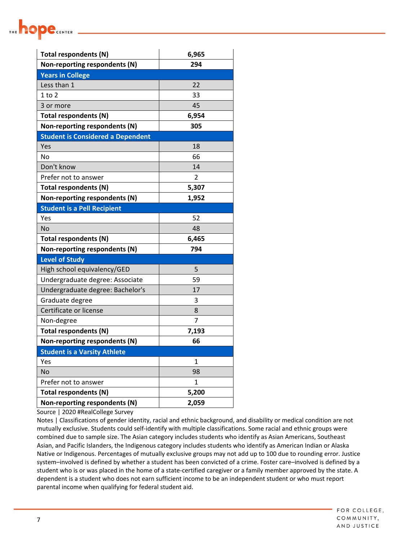| Total respondents (N)                    | 6,965 |
|------------------------------------------|-------|
| Non-reporting respondents (N)            | 294   |
| <b>Years in College</b>                  |       |
| Less than 1                              | 22    |
| $1$ to $2$                               | 33    |
| 3 or more                                | 45    |
| Total respondents (N)                    | 6,954 |
| Non-reporting respondents (N)            | 305   |
| <b>Student is Considered a Dependent</b> |       |
| Yes                                      | 18    |
| No                                       | 66    |
| Don't know                               | 14    |
| Prefer not to answer                     | 2     |
| Total respondents (N)                    | 5,307 |
| Non-reporting respondents (N)            | 1,952 |
| <b>Student is a Pell Recipient</b>       |       |
| Yes                                      | 52    |
| No                                       | 48    |
| Total respondents (N)                    | 6,465 |
| Non-reporting respondents (N)            | 794   |
| <b>Level of Study</b>                    |       |
| High school equivalency/GED              | 5     |
| Undergraduate degree: Associate          | 59    |
| Undergraduate degree: Bachelor's         | 17    |
| Graduate degree                          | 3     |
| Certificate or license                   | 8     |
| Non-degree                               | 7     |
| Total respondents (N)                    | 7,193 |
| Non-reporting respondents (N)            | 66    |
| <b>Student is a Varsity Athlete</b>      |       |
| Yes                                      | 1     |
| No                                       | 98    |
| Prefer not to answer                     | 1     |
| Total respondents (N)                    | 5,200 |
| Non-reporting respondents (N)            | 2,059 |

Source | 2020 #RealCollege Survey

**DE CENTER** 

Notes | Classifications of gender identity, racial and ethnic background, and disability or medical condition are not mutually exclusive. Students could self-identify with multiple classifications. Some racial and ethnic groups were combined due to sample size. The Asian category includes students who identify as Asian Americans, Southeast Asian, and Pacific Islanders, the Indigenous category includes students who identify as American Indian or Alaska Native or Indigenous. Percentages of mutually exclusive groups may not add up to 100 due to rounding error. Justice system–involved is defined by whether a student has been convicted of a crime. Foster care–involved is defined by a student who is or was placed in the home of a state‐certified caregiver or a family member approved by the state. A dependent is a student who does not earn sufficient income to be an independent student or who must report parental income when qualifying for federal student aid.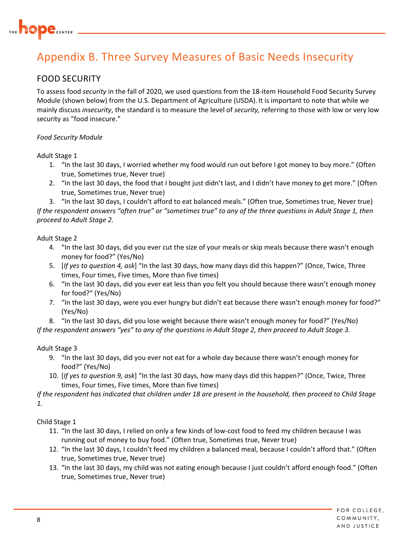

## Appendix B. Three Survey Measures of Basic Needs Insecurity

#### FOOD SECURITY

To assess food *security* in the fall of 2020, we used questions from the 18‐item Household Food Security Survey Module (shown below) from the U.S. Department of Agriculture (USDA). It is important to note that while we mainly discuss *insecurity*, the standard is to measure the level of *security,* referring to those with low or very low security as "food insecure."

#### *Food Security Module*

Adult Stage 1

- 1. "In the last 30 days, I worried whether my food would run out before I got money to buy more." (Often true, Sometimes true, Never true)
- 2. "In the last 30 days, the food that I bought just didn't last, and I didn't have money to get more." (Often true, Sometimes true, Never true)

3. "In the last 30 days, I couldn't afford to eat balanced meals." (Often true, Sometimes true, Never true) If the respondent answers "often true" or "sometimes true" to any of the three questions in Adult Stage 1, then *proceed to Adult Stage 2.*

Adult Stage 2

- 4. "In the last 30 days, did you ever cut the size of your meals or skip meals because there wasn't enough money for food?" (Yes/No)
- 5. [*If yes to question 4, ask*] "In the last 30 days, how many days did this happen?" (Once, Twice, Three times, Four times, Five times, More than five times)
- 6. "In the last 30 days, did you ever eat less than you felt you should because there wasn't enough money for food?" (Yes/No)
- 7. "In the last 30 days, were you ever hungry but didn't eat because there wasn't enough money for food?" (Yes/No)

8. "In the last 30 days, did you lose weight because there wasn't enough money for food?" (Yes/No)

If the respondent answers "yes" to any of the questions in Adult Stage 2, then proceed to Adult Stage 3.

#### Adult Stage 3

- 9. "In the last 30 days, did you ever not eat for a whole day because there wasn't enough money for food?" (Yes/No)
- 10. [*If yes to question 9, ask*] "In the last 30 days, how many days did this happen?" (Once, Twice, Three times, Four times, Five times, More than five times)

If the respondent has indicated that children under 18 are present in the household, then proceed to Child Stage *1.*

#### Child Stage 1

- 11. "In the last 30 days, I relied on only a few kinds of low‐cost food to feed my children because I was running out of money to buy food." (Often true, Sometimes true, Never true)
- 12. "In the last 30 days, I couldn't feed my children a balanced meal, because I couldn't afford that." (Often true, Sometimes true, Never true)
- 13. "In the last 30 days, my child was not eating enough because I just couldn't afford enough food." (Often true, Sometimes true, Never true)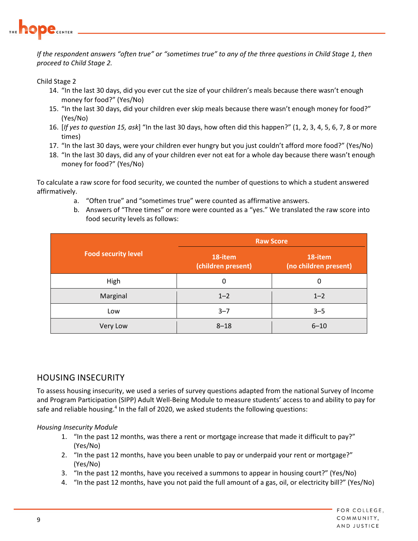

If the respondent answers "often true" or "sometimes true" to any of the three questions in Child Stage 1, then *proceed to Child Stage 2.*

Child Stage 2

- 14. "In the last 30 days, did you ever cut the size of your children's meals because there wasn't enough money for food?" (Yes/No)
- 15. "In the last 30 days, did your children ever skip meals because there wasn't enough money for food?" (Yes/No)
- 16. [*If yes to question 15, ask*] "In the last 30 days, how often did this happen?" (1, 2, 3, 4, 5, 6, 7, 8 or more times)
- 17. "In the last 30 days, were your children ever hungry but you just couldn't afford more food?" (Yes/No)
- 18. "In the last 30 days, did any of your children ever not eat for a whole day because there wasn't enough money for food?" (Yes/No)

To calculate a raw score for food security, we counted the number of questions to which a student answered affirmatively.

- a. "Often true" and "sometimes true" were counted as affirmative answers.
- b. Answers of "Three times" or more were counted as a "yes." We translated the raw score into food security levels as follows:

|                            | <b>Raw Score</b>              |                                  |  |  |
|----------------------------|-------------------------------|----------------------------------|--|--|
| <b>Food security level</b> | 18-item<br>(children present) | 18-item<br>(no children present) |  |  |
| High                       | 0                             | 0                                |  |  |
| Marginal                   | $1 - 2$                       | $1 - 2$                          |  |  |
| Low                        | $3 - 7$                       | $3 - 5$                          |  |  |
| Very Low                   | $8 - 18$                      | $6 - 10$                         |  |  |

#### HOUSING INSECURITY

To assess housing insecurity, we used a series of survey questions adapted from the national Survey of Income and Program Participation (SIPP) Adult Well‐Being Module to measure students' access to and ability to pay for safe and reliable housing.<sup>4</sup> In the fall of 2020, we asked students the following questions:

#### *Housing Insecurity Module*

- 1. "In the past 12 months, was there a rent or mortgage increase that made it difficult to pay?" (Yes/No)
- 2. "In the past 12 months, have you been unable to pay or underpaid your rent or mortgage?" (Yes/No)
- 3. "In the past 12 months, have you received a summons to appear in housing court?" (Yes/No)
- 4. "In the past 12 months, have you not paid the full amount of a gas, oil, or electricity bill?" (Yes/No)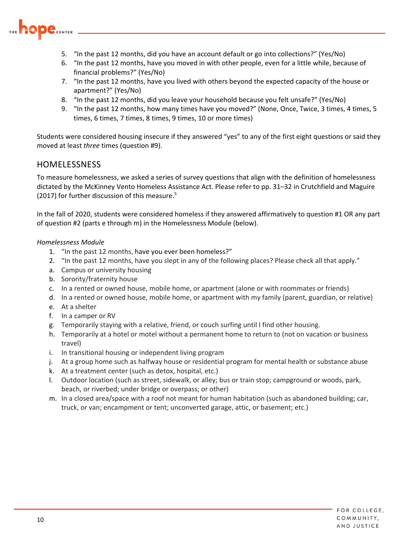

- 5. "In the past 12 months, did you have an account default or go into collections?" (Yes/No)
- 6. "In the past 12 months, have you moved in with other people, even for a little while, because of financial problems?" (Yes/No)
- 7. "In the past 12 months, have you lived with others beyond the expected capacity of the house or apartment?" (Yes/No)
- 8. "In the past 12 months, did you leave your household because you felt unsafe?" (Yes/No)
- 9. "In the past 12 months, how many times have you moved?" (None, Once, Twice, 3 times, 4 times, 5 times, 6 times, 7 times, 8 times, 9 times, 10 or more times)

Students were considered housing insecure if they answered "yes" to any of the first eight questions or said they moved at least *three* times (question #9).

#### HOMELESSNESS

To measure homelessness, we asked a series of survey questions that align with the definition of homelessness dictated by the McKinney Vento Homeless Assistance Act. Please refer to pp. 31–32 in Crutchfield and Maguire (2017) for further discussion of this measure.<sup>5</sup>

In the fall of 2020, students were considered homeless if they answered affirmatively to question #1 OR any part of question #2 (parts e through m) in the Homelessness Module (below).

#### *Homelessness Module*

- 1. "In the past 12 months, have you ever been homeless?"
- 2. "In the past 12 months, have you slept in any of the following places? Please check all that apply."
- a. Campus or university housing
- b. Sorority/fraternity house
- c. In a rented or owned house, mobile home, or apartment (alone or with roommates or friends)
- d. In a rented or owned house, mobile home, or apartment with my family (parent, guardian, or relative)
- e. At a shelter
- f. In a camper or RV
- g. Temporarily staying with a relative, friend, or couch surfing until I find other housing.
- h. Temporarily at a hotel or motel without a permanent home to return to (not on vacation or business travel)
- i. In transitional housing or independent living program
- j. At a group home such as halfway house or residential program for mental health or substance abuse
- k. At a treatment center (such as detox, hospital, etc.)
- l. Outdoor location (such as street, sidewalk, or alley; bus or train stop; campground or woods, park, beach, or riverbed; under bridge or overpass; or other)
- m. In a closed area/space with a roof not meant for human habitation (such as abandoned building; car, truck, or van; encampment or tent; unconverted garage, attic, or basement; etc.)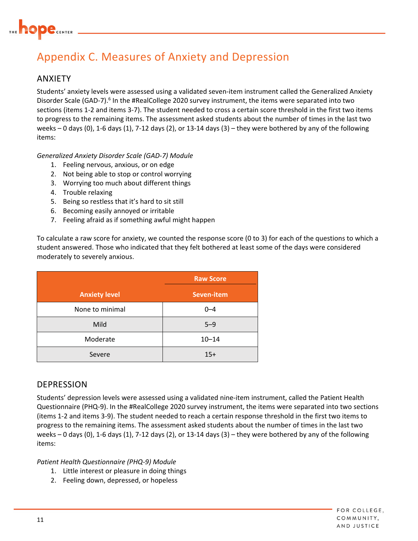

## Appendix C. Measures of Anxiety and Depression

#### ANXIETY

Students' anxiety levels were assessed using a validated seven‐item instrument called the Generalized Anxiety Disorder Scale (GAD-7).<sup>6</sup> In the #RealCollege 2020 survey instrument, the items were separated into two sections (items 1‐2 and items 3‐7). The student needed to cross a certain score threshold in the first two items to progress to the remaining items. The assessment asked students about the number of times in the last two weeks – 0 days (0), 1‐6 days (1), 7‐12 days (2), or 13‐14 days (3) – they were bothered by any of the following items:

*Generalized Anxiety Disorder Scale (GAD‐7) Module*

- 1. Feeling nervous, anxious, or on edge
- 2. Not being able to stop or control worrying
- 3. Worrying too much about different things
- 4. Trouble relaxing
- 5. Being so restless that it's hard to sit still
- 6. Becoming easily annoyed or irritable
- 7. Feeling afraid as if something awful might happen

To calculate a raw score for anxiety, we counted the response score (0 to 3) for each of the questions to which a student answered. Those who indicated that they felt bothered at least some of the days were considered moderately to severely anxious.

|                      | <b>Raw Score</b> |  |  |
|----------------------|------------------|--|--|
| <b>Anxiety level</b> | Seven-item       |  |  |
| None to minimal      | $0 - 4$          |  |  |
| Mild                 | $5 - 9$          |  |  |
| Moderate             | $10 - 14$        |  |  |
| Severe               | $15+$            |  |  |

#### DEPRESSION

Students' depression levels were assessed using a validated nine‐item instrument, called the Patient Health Questionnaire (PHQ‐9). In the #RealCollege 2020 survey instrument, the items were separated into two sections (items 1‐2 and items 3‐9). The student needed to reach a certain response threshold in the first two items to progress to the remaining items. The assessment asked students about the number of times in the last two weeks – 0 days (0), 1‐6 days (1), 7‐12 days (2), or 13‐14 days (3) – they were bothered by any of the following items:

*Patient Health Questionnaire (PHQ‐9) Module*

- 1. Little interest or pleasure in doing things
- 2. Feeling down, depressed, or hopeless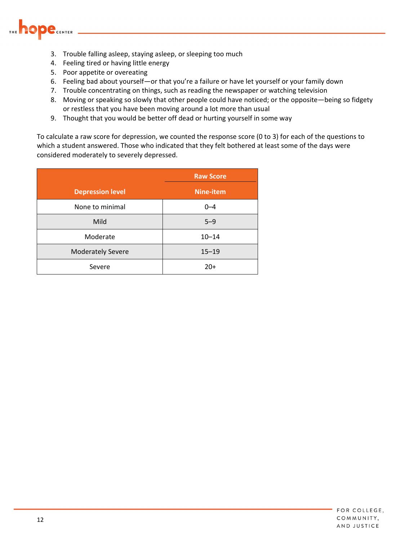

- 3. Trouble falling asleep, staying asleep, or sleeping too much
- 4. Feeling tired or having little energy
- 5. Poor appetite or overeating
- 6. Feeling bad about yourself—or that you're a failure or have let yourself or your family down
- 7. Trouble concentrating on things, such as reading the newspaper or watching television
- 8. Moving or speaking so slowly that other people could have noticed; or the opposite—being so fidgety or restless that you have been moving around a lot more than usual
- 9. Thought that you would be better off dead or hurting yourself in some way

To calculate a raw score for depression, we counted the response score (0 to 3) for each of the questions to which a student answered. Those who indicated that they felt bothered at least some of the days were considered moderately to severely depressed.

|                          | <b>Raw Score</b> |
|--------------------------|------------------|
| <b>Depression level</b>  | <b>Nine-item</b> |
| None to minimal          | $0 - 4$          |
| Mild                     | $5 - 9$          |
| Moderate                 | $10 - 14$        |
| <b>Moderately Severe</b> | $15 - 19$        |
| Severe                   | $20+$            |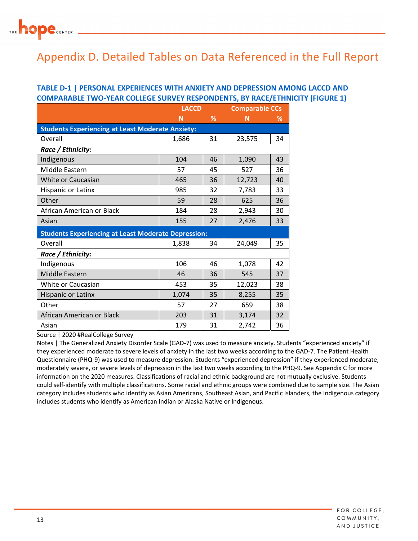

## Appendix D. Detailed Tables on Data Referenced in the Full Report

#### **TABLE D‐1 | PERSONAL EXPERIENCES WITH ANXIETY AND DEPRESSION AMONG LACCD AND COMPARABLE TWO‐YEAR COLLEGE SURVEY RESPONDENTS, BY RACE/ETHNICITY (FIGURE 1)**

|                                                            | <b>LACCD</b> |    | <b>Comparable CCs</b> |    |  |
|------------------------------------------------------------|--------------|----|-----------------------|----|--|
|                                                            | N            | %  | N                     | ℅  |  |
| <b>Students Experiencing at Least Moderate Anxiety:</b>    |              |    |                       |    |  |
| Overall                                                    | 1,686        | 31 | 23,575                | 34 |  |
| Race / Ethnicity:                                          |              |    |                       |    |  |
| Indigenous                                                 | 104          | 46 | 1,090                 | 43 |  |
| Middle Eastern                                             | 57           | 45 | 527                   | 36 |  |
| White or Caucasian                                         | 465          | 36 | 12,723                | 40 |  |
| Hispanic or Latinx                                         | 985          | 32 | 7,783                 | 33 |  |
| Other                                                      | 59           | 28 | 625                   | 36 |  |
| African American or Black                                  | 184          | 28 | 2,943                 | 30 |  |
| Asian                                                      | 155          | 27 | 2,476                 | 33 |  |
| <b>Students Experiencing at Least Moderate Depression:</b> |              |    |                       |    |  |
| Overall                                                    | 1,838        | 34 | 24,049                | 35 |  |
| Race / Ethnicity:                                          |              |    |                       |    |  |
| Indigenous                                                 | 106          | 46 | 1,078                 | 42 |  |
| Middle Eastern                                             | 46           | 36 | 545                   | 37 |  |
| White or Caucasian                                         | 453          | 35 | 12,023                | 38 |  |
| <b>Hispanic or Latinx</b>                                  | 1,074        | 35 | 8,255                 | 35 |  |
| Other                                                      | 57           | 27 | 659                   | 38 |  |
| African American or Black                                  | 203          | 31 | 3,174                 | 32 |  |
| Asian                                                      | 179          | 31 | 2,742                 | 36 |  |

Source | 2020 #RealCollege Survey

Notes | The Generalized Anxiety Disorder Scale (GAD‐7) was used to measure anxiety. Students "experienced anxiety" if they experienced moderate to severe levels of anxiety in the last two weeks according to the GAD‐7. The Patient Health Questionnaire (PHQ‐9) was used to measure depression. Students "experienced depression" if they experienced moderate, moderately severe, or severe levels of depression in the last two weeks according to the PHQ‐9. See Appendix C for more information on the 2020 measures. Classifications of racial and ethnic background are not mutually exclusive. Students could self‐identify with multiple classifications. Some racial and ethnic groups were combined due to sample size. The Asian category includes students who identify as Asian Americans, Southeast Asian, and Pacific Islanders, the Indigenous category includes students who identify as American Indian or Alaska Native or Indigenous.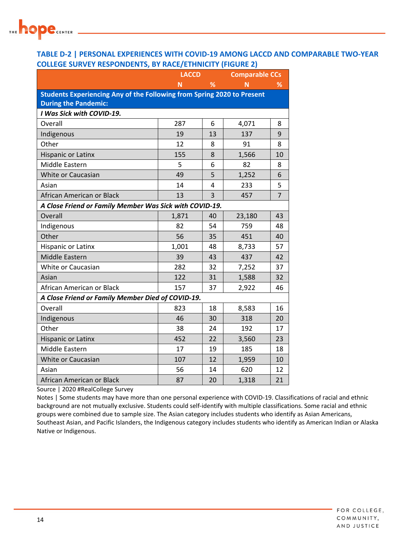

#### **TABLE D‐2 | PERSONAL EXPERIENCES WITH COVID‐19 AMONG LACCD AND COMPARABLE TWO‐YEAR COLLEGE SURVEY RESPONDENTS, BY RACE/ETHNICITY (FIGURE 2)**

|                                                                        | <b>LACCD</b> |    | <b>Comparable CCs</b> |                |
|------------------------------------------------------------------------|--------------|----|-----------------------|----------------|
|                                                                        | N            | %  | N                     | ℅              |
| Students Experiencing Any of the Following from Spring 2020 to Present |              |    |                       |                |
| <b>During the Pandemic:</b>                                            |              |    |                       |                |
| I Was Sick with COVID-19.                                              |              |    |                       |                |
| Overall                                                                | 287          | 6  | 4,071                 | 8              |
| Indigenous                                                             | 19           | 13 | 137                   | 9              |
| Other                                                                  | 12           | 8  | 91                    | 8              |
| Hispanic or Latinx                                                     | 155          | 8  | 1,566                 | 10             |
| Middle Eastern                                                         | 5            | 6  | 82                    | 8              |
| White or Caucasian                                                     | 49           | 5  | 1,252                 | 6              |
| Asian                                                                  | 14           | 4  | 233                   | 5              |
| African American or Black                                              | 13           | 3  | 457                   | $\overline{7}$ |
| A Close Friend or Family Member Was Sick with COVID-19.                |              |    |                       |                |
| Overall                                                                | 1,871        | 40 | 23,180                | 43             |
| Indigenous                                                             | 82           | 54 | 759                   | 48             |
| Other                                                                  | 56           | 35 | 451                   | 40             |
| Hispanic or Latinx                                                     | 1,001        | 48 | 8,733                 | 57             |
| Middle Eastern                                                         | 39           | 43 | 437                   | 42             |
| White or Caucasian                                                     | 282          | 32 | 7,252                 | 37             |
| Asian                                                                  | 122          | 31 | 1,588                 | 32             |
| African American or Black                                              | 157          | 37 | 2,922                 | 46             |
| A Close Friend or Family Member Died of COVID-19.                      |              |    |                       |                |
| Overall                                                                | 823          | 18 | 8,583                 | 16             |
| Indigenous                                                             | 46           | 30 | 318                   | 20             |
| Other                                                                  | 38           | 24 | 192                   | 17             |
| Hispanic or Latinx                                                     | 452          | 22 | 3,560                 | 23             |
| Middle Eastern                                                         | 17           | 19 | 185                   | 18             |
| White or Caucasian                                                     | 107          | 12 | 1,959                 | 10             |
| Asian                                                                  | 56           | 14 | 620                   | 12             |
| African American or Black                                              | 87           | 20 | 1,318                 | 21             |

Source | 2020 #RealCollege Survey

Notes | Some students may have more than one personal experience with COVID‐19. Classifications of racial and ethnic background are not mutually exclusive. Students could self‐identify with multiple classifications. Some racial and ethnic groups were combined due to sample size. The Asian category includes students who identify as Asian Americans, Southeast Asian, and Pacific Islanders, the Indigenous category includes students who identify as American Indian or Alaska Native or Indigenous.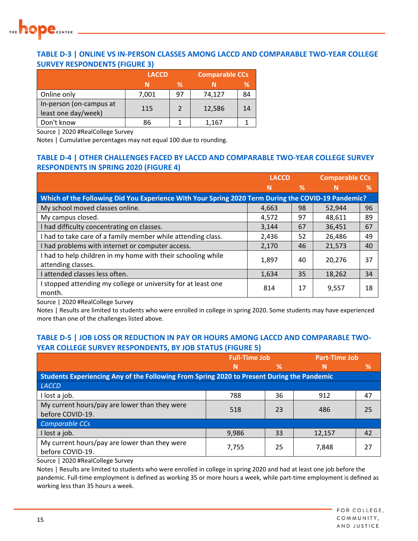

#### **TABLE D‐3 | ONLINE VS IN‐PERSON CLASSES AMONG LACCD AND COMPARABLE TWO‐YEAR COLLEGE SURVEY RESPONDENTS (FIGURE 3)**

|                                                | <b>LACCD</b> |               | <b>Comparable CCs</b> |    |
|------------------------------------------------|--------------|---------------|-----------------------|----|
|                                                |              | %             |                       | ℅  |
| Online only                                    | 7,001        | 97            | 74,127                | 84 |
| In-person (on-campus at<br>least one day/week) | 115          | $\mathcal{P}$ | 12,586                | 14 |
| Don't know                                     | 86           |               | 1,167                 |    |

Source | 2020 #RealCollege Survey

Notes | Cumulative percentages may not equal 100 due to rounding.

#### **TABLE D‐4 | OTHER CHALLENGES FACED BY LACCD AND COMPARABLE TWO‐YEAR COLLEGE SURVEY RESPONDENTS IN SPRING 2020 (FIGURE 4)**

|                                                                                                    | <b>LACCD</b> |    | <b>Comparable CCs</b> |    |
|----------------------------------------------------------------------------------------------------|--------------|----|-----------------------|----|
|                                                                                                    | N            | %  | N                     | ℅  |
| Which of the Following Did You Experience With Your Spring 2020 Term During the COVID-19 Pandemic? |              |    |                       |    |
| My school moved classes online.                                                                    | 4,663        | 98 | 52,944                | 96 |
| My campus closed.                                                                                  | 4,572        | 97 | 48,611                | 89 |
| I had difficulty concentrating on classes.                                                         | 3,144        | 67 | 36,451                | 67 |
| I had to take care of a family member while attending class.                                       | 2,436        | 52 | 26,486                | 49 |
| I had problems with internet or computer access.                                                   | 2,170        | 46 | 21,573                | 40 |
| I had to help children in my home with their schooling while<br>attending classes.                 | 1,897        | 40 | 20,276                | 37 |
| attended classes less often.                                                                       | 1,634        | 35 | 18,262                | 34 |
| stopped attending my college or university for at least one<br>month.                              | 814          | 17 | 9,557                 | 18 |

Source | 2020 #RealCollege Survey

Notes | Results are limited to students who were enrolled in college in spring 2020. Some students may have experienced more than one of the challenges listed above.

#### **TABLE D‐5 | JOB LOSS OR REDUCTION IN PAY OR HOURS AMONG LACCD AND COMPARABLE TWO‐ YEAR COLLEGE SURVEY RESPONDENTS, BY JOB STATUS (FIGURE 5)**

|                                                                                            | <b>Full-Time Job</b> |    | <b>Part-Time Job</b> |    |
|--------------------------------------------------------------------------------------------|----------------------|----|----------------------|----|
|                                                                                            | N                    | %  | N                    | %  |
| Students Experiencing Any of the Following From Spring 2020 to Present During the Pandemic |                      |    |                      |    |
| LACCD                                                                                      |                      |    |                      |    |
| I lost a job.                                                                              | 788                  | 36 | 912                  | 47 |
| My current hours/pay are lower than they were                                              | 518                  | 23 | 486                  | 25 |
| before COVID-19.                                                                           |                      |    |                      |    |
| Comparable CCs                                                                             |                      |    |                      |    |
| I lost a job.                                                                              | 9,986                | 33 | 12,157               | 42 |
| My current hours/pay are lower than they were                                              | 7,755                | 25 | 7,848                | 27 |
| before COVID-19.                                                                           |                      |    |                      |    |

Source | 2020 #RealCollege Survey

Notes | Results are limited to students who were enrolled in college in spring 2020 and had at least one job before the pandemic. Full-time employment is defined as working 35 or more hours a week, while part-time employment is defined as working less than 35 hours a week.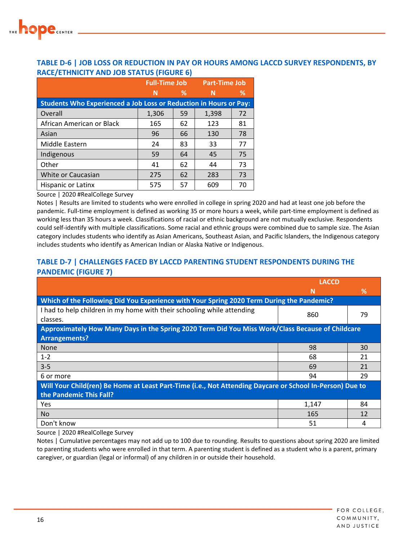

#### **TABLE D‐6 | JOB LOSS OR REDUCTION IN PAY OR HOURS AMONG LACCD SURVEY RESPONDENTS, BY RACE/ETHNICITY AND JOB STATUS (FIGURE 6)**

|                                                                          | <b>Full-Time Job Part-Time Job</b> |    |       |    |
|--------------------------------------------------------------------------|------------------------------------|----|-------|----|
|                                                                          | N                                  | %  | N     | %  |
| <b>Students Who Experienced a Job Loss or Reduction in Hours or Pay:</b> |                                    |    |       |    |
| Overall                                                                  | 1,306                              | 59 | 1,398 | 72 |
| African American or Black                                                | 165                                | 62 | 123   | 81 |
| Asian                                                                    | 96                                 | 66 | 130   | 78 |
| Middle Eastern                                                           | 24                                 | 83 | 33    | 77 |
| Indigenous                                                               | 59                                 | 64 | 45    | 75 |
| Other                                                                    | 41                                 | 62 | 44    | 73 |
| White or Caucasian                                                       | 275                                | 62 | 283   | 73 |
| Hispanic or Latinx                                                       | 575                                | 57 | 609   | 70 |

Source | 2020 #RealCollege Survey

Notes | Results are limited to students who were enrolled in college in spring 2020 and had at least one job before the pandemic. Full-time employment is defined as working 35 or more hours a week, while part-time employment is defined as working less than 35 hours a week. Classifications of racial or ethnic background are not mutually exclusive. Respondents could self‐identify with multiple classifications. Some racial and ethnic groups were combined due to sample size. The Asian category includes students who identify as Asian Americans, Southeast Asian, and Pacific Islanders, the Indigenous category includes students who identify as American Indian or Alaska Native or Indigenous.

#### **TABLE D‐7 | CHALLENGES FACED BY LACCD PARENTING STUDENT RESPONDENTS DURING THE PANDEMIC (FIGURE 7)**

|                                                                                                          | <b>LACCD</b> |    |
|----------------------------------------------------------------------------------------------------------|--------------|----|
|                                                                                                          | N            | ℅  |
| <b>Which of the Following Did You Experience with Your Spring 2020 Term During the Pandemic?</b>         |              |    |
| I had to help children in my home with their schooling while attending                                   | 860          | 79 |
| classes.                                                                                                 |              |    |
| Approximately How Many Days in the Spring 2020 Term Did You Miss Work/Class Because of Childcare         |              |    |
| <b>Arrangements?</b>                                                                                     |              |    |
| None                                                                                                     | 98           | 30 |
| $1 - 2$                                                                                                  | 68           | 21 |
| $3 - 5$                                                                                                  | 69           | 21 |
| 6 or more                                                                                                | 94           | 29 |
| Will Your Child(ren) Be Home at Least Part-Time (i.e., Not Attending Daycare or School In-Person) Due to |              |    |
| the Pandemic This Fall?                                                                                  |              |    |
| Yes                                                                                                      | 1,147        | 84 |
| <b>No</b>                                                                                                | 165          | 12 |
| Don't know                                                                                               | 51           | 4  |

Source | 2020 #RealCollege Survey

Notes | Cumulative percentages may not add up to 100 due to rounding. Results to questions about spring 2020 are limited to parenting students who were enrolled in that term. A parenting student is defined as a student who is a parent, primary caregiver, or guardian (legal or informal) of any children in or outside their household.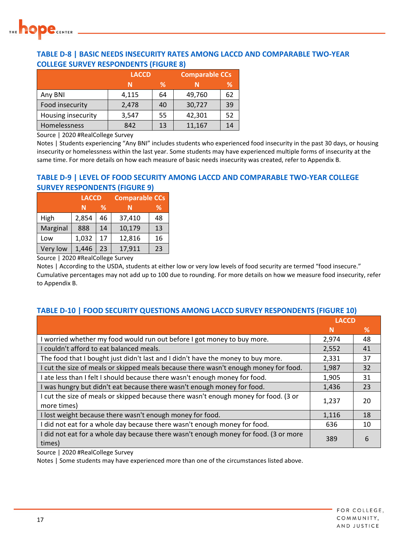

#### **TABLE D‐8 | BASIC NEEDS INSECURITY RATES AMONG LACCD AND COMPARABLE TWO‐YEAR COLLEGE SURVEY RESPONDENTS (FIGURE 8)**

|                    | <b>LACCD</b> |    | <b>Comparable CCs</b> |    |
|--------------------|--------------|----|-----------------------|----|
|                    | N            | ℅  |                       | ℅  |
| Any BNI            | 4,115        | 64 | 49,760                | 62 |
| Food insecurity    | 2,478        | 40 | 30,727                | 39 |
| Housing insecurity | 3,547        | 55 | 42,301                | 52 |
| Homelessness       | 842          | 13 | 11,167                | 14 |

Source | 2020 #RealCollege Survey

Notes | Students experiencing "Any BNI" includes students who experienced food insecurity in the past 30 days, or housing insecurity or homelessness within the last year. Some students may have experienced multiple forms of insecurity at the same time. For more details on how each measure of basic needs insecurity was created, refer to Appendix B.

#### **TABLE D‐9 | LEVEL OF FOOD SECURITY AMONG LACCD AND COMPARABLE TWO‐YEAR COLLEGE SURVEY RESPONDENTS (FIGURE 9)**

|          | <b>LACCD</b> |               | <b>Comparable CCs</b> |    |
|----------|--------------|---------------|-----------------------|----|
|          | N            | $\mathcal{A}$ | N                     | ℅  |
| High     | 2,854        | 46            | 37,410                | 48 |
| Marginal | 888          | 14            | 10,179                | 13 |
| Low      | 1,032        | 17            | 12,816                | 16 |
| Very low | 1,446        | 23            | 17,911                | 23 |

Source | 2020 #RealCollege Survey

Notes | According to the USDA, students at either low or very low levels of food security are termed "food insecure." Cumulative percentages may not add up to 100 due to rounding. For more details on how we measure food insecurity, refer to Appendix B.

#### **TABLE D‐10 | FOOD SECURITY QUESTIONS AMONG LACCD SURVEY RESPONDENTS (FIGURE 10)**

|                                                                                                     | <b>LACCD</b> |    |
|-----------------------------------------------------------------------------------------------------|--------------|----|
|                                                                                                     | N            | %  |
| I worried whether my food would run out before I got money to buy more.                             | 2,974        | 48 |
| I couldn't afford to eat balanced meals.                                                            | 2,552        | 41 |
| The food that I bought just didn't last and I didn't have the money to buy more.                    | 2,331        | 37 |
| I cut the size of meals or skipped meals because there wasn't enough money for food.                | 1,987        | 32 |
| I ate less than I felt I should because there wasn't enough money for food.                         | 1,905        | 31 |
| I was hungry but didn't eat because there wasn't enough money for food.                             | 1,436        | 23 |
| I cut the size of meals or skipped because there wasn't enough money for food. (3 or<br>more times) | 1,237        | 20 |
| I lost weight because there wasn't enough money for food.                                           | 1,116        | 18 |
| I did not eat for a whole day because there wasn't enough money for food.                           | 636          | 10 |
| I did not eat for a whole day because there wasn't enough money for food. (3 or more<br>times)      | 389          | 6  |

Source | 2020 #RealCollege Survey

Notes | Some students may have experienced more than one of the circumstances listed above.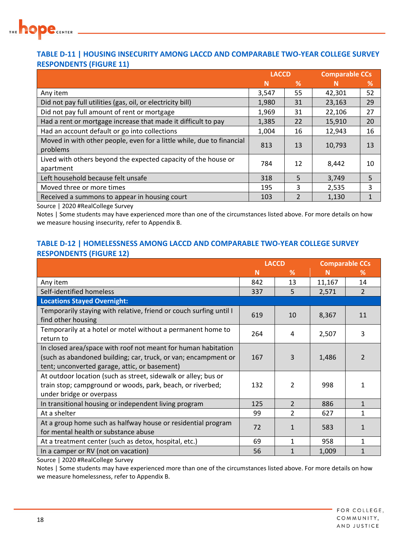

#### **TABLE D‐11 | HOUSING INSECURITY AMONG LACCD AND COMPARABLE TWO‐YEAR COLLEGE SURVEY RESPONDENTS (FIGURE 11)**

|                                                                                   | <b>LACCD</b> |               | <b>Comparable CCs</b> |    |
|-----------------------------------------------------------------------------------|--------------|---------------|-----------------------|----|
|                                                                                   | N            | %             | N                     | %  |
| Any item                                                                          | 3,547        | 55            | 42,301                | 52 |
| Did not pay full utilities (gas, oil, or electricity bill)                        | 1,980        | 31            | 23,163                | 29 |
| Did not pay full amount of rent or mortgage                                       | 1,969        | 31            | 22,106                | 27 |
| Had a rent or mortgage increase that made it difficult to pay                     | 1,385        | 22            | 15,910                | 20 |
| Had an account default or go into collections                                     | 1,004        | 16            | 12,943                | 16 |
| Moved in with other people, even for a little while, due to financial<br>problems | 813          | 13            | 10,793                | 13 |
| Lived with others beyond the expected capacity of the house or<br>apartment       | 784          | 12            | 8,442                 | 10 |
| Left household because felt unsafe                                                | 318          | 5             | 3,749                 | 5  |
| Moved three or more times                                                         | 195          | 3             | 2,535                 | 3  |
| Received a summons to appear in housing court                                     | 103          | $\mathcal{P}$ | 1,130                 | 1  |

Source | 2020 #RealCollege Survey

Notes | Some students may have experienced more than one of the circumstances listed above. For more details on how we measure housing insecurity, refer to Appendix B.

#### **TABLE D‐12 | HOMELESSNESS AMONG LACCD AND COMPARABLE TWO‐YEAR COLLEGE SURVEY RESPONDENTS (FIGURE 12)**

|                                                                                                                                                                                  | <b>LACCD</b> |                |        | <b>Comparable CCs</b> |
|----------------------------------------------------------------------------------------------------------------------------------------------------------------------------------|--------------|----------------|--------|-----------------------|
|                                                                                                                                                                                  | N            | ℅              | N      | %                     |
| Any item                                                                                                                                                                         | 842          | 13             | 11,167 | 14                    |
| Self-identified homeless                                                                                                                                                         | 337          | 5              | 2,571  | $\overline{2}$        |
| <b>Locations Stayed Overnight:</b>                                                                                                                                               |              |                |        |                       |
| Temporarily staying with relative, friend or couch surfing until I<br>find other housing                                                                                         | 619          | 10             | 8,367  | 11                    |
| Temporarily at a hotel or motel without a permanent home to<br>return to                                                                                                         | 264          | 4              | 2,507  | 3                     |
| In closed area/space with roof not meant for human habitation<br>(such as abandoned building; car, truck, or van; encampment or<br>tent; unconverted garage, attic, or basement) | 167          | 3              | 1,486  |                       |
| At outdoor location (such as street, sidewalk or alley; bus or<br>train stop; campground or woods, park, beach, or riverbed;<br>under bridge or overpass                         | 132          | $\mathfrak{p}$ | 998    |                       |
| In transitional housing or independent living program                                                                                                                            | 125          | $\overline{2}$ | 886    | $\mathbf{1}$          |
| At a shelter                                                                                                                                                                     | 99           | $\mathcal{P}$  | 627    |                       |
| At a group home such as halfway house or residential program<br>for mental health or substance abuse                                                                             | 72           |                | 583    |                       |
| At a treatment center (such as detox, hospital, etc.)                                                                                                                            | 69           | 1              | 958    |                       |
| In a camper or RV (not on vacation)                                                                                                                                              | 56           | 1              | 1,009  |                       |

Source | 2020 #RealCollege Survey

Notes | Some students may have experienced more than one of the circumstances listed above. For more details on how we measure homelessness, refer to Appendix B.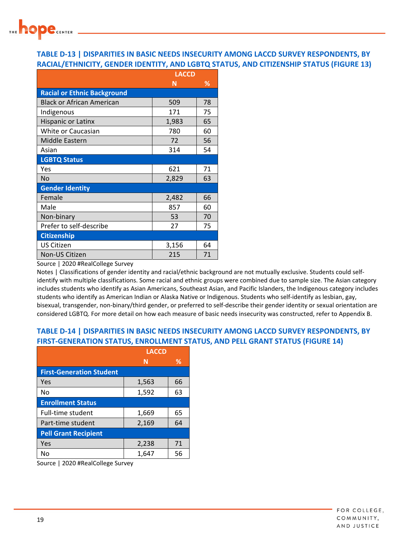

#### **TABLE D‐13 | DISPARITIES IN BASIC NEEDS INSECURITY AMONG LACCD SURVEY RESPONDENTS, BY RACIAL/ETHNICITY, GENDER IDENTITY, AND LGBTQ STATUS, AND CITIZENSHIP STATUS (FIGURE 13)**

|                                    | <b>LACCD</b> |    |  |
|------------------------------------|--------------|----|--|
|                                    | N            | ℅  |  |
| <b>Racial or Ethnic Background</b> |              |    |  |
| Black or African American          | 509          | 78 |  |
| Indigenous                         | 171          | 75 |  |
| <b>Hispanic or Latinx</b>          | 1,983        | 65 |  |
| White or Caucasian                 | 780          | 60 |  |
| Middle Eastern                     | 72           | 56 |  |
| Asian                              | 314          | 54 |  |
| <b>LGBTQ Status</b>                |              |    |  |
| Yes                                | 621          | 71 |  |
| <b>No</b>                          | 2,829        | 63 |  |
| <b>Gender Identity</b>             |              |    |  |
| Female                             | 2,482        | 66 |  |
| Male                               | 857          | 60 |  |
| Non-binary                         | 53           | 70 |  |
| Prefer to self-describe            | 27           | 75 |  |
| <b>Citizenship</b>                 |              |    |  |
| <b>US Citizen</b>                  | 3,156        | 64 |  |
| Non-US Citizen                     | 215          | 71 |  |

Source | 2020 #RealCollege Survey

Notes | Classifications of gender identity and racial/ethnic background are not mutually exclusive. Students could selfidentify with multiple classifications. Some racial and ethnic groups were combined due to sample size. The Asian category includes students who identify as Asian Americans, Southeast Asian, and Pacific Islanders, the Indigenous category includes students who identify as American Indian or Alaska Native or Indigenous. Students who self‐identify as lesbian, gay, bisexual, transgender, non-binary/third gender, or preferred to self-describe their gender identity or sexual orientation are considered LGBTQ. For more detail on how each measure of basic needs insecurity was constructed, refer to Appendix B.

#### **TABLE D‐14 | DISPARITIES IN BASIC NEEDS INSECURITY AMONG LACCD SURVEY RESPONDENTS, BY FIRST‐GENERATION STATUS, ENROLLMENT STATUS, AND PELL GRANT STATUS (FIGURE 14)**

|                                 | LACCD |    |  |
|---------------------------------|-------|----|--|
|                                 | N     | %  |  |
| <b>First-Generation Student</b> |       |    |  |
| Yes                             | 1,563 | 66 |  |
| No                              | 1,592 | 63 |  |
| <b>Enrollment Status</b>        |       |    |  |
| Full-time student               | 1,669 | 65 |  |
| Part-time student               | 2,169 | 64 |  |
| <b>Pell Grant Recipient</b>     |       |    |  |
| Yes                             | 2,238 | 71 |  |
| No                              | 1,647 | 56 |  |

Source | 2020 #RealCollege Survey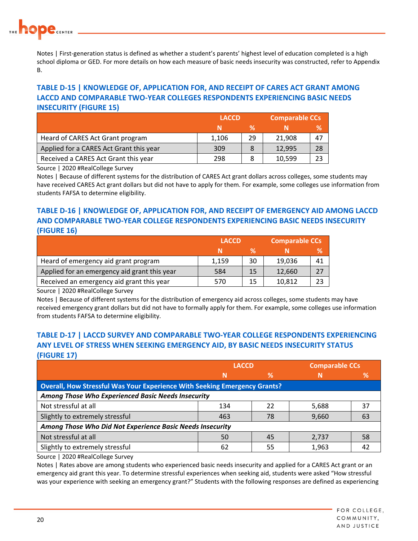

Notes | First-generation status is defined as whether a student's parents' highest level of education completed is a high school diploma or GED. For more details on how each measure of basic needs insecurity was constructed, refer to Appendix B.

#### **TABLE D‐15 | KNOWLEDGE OF, APPLICATION FOR, AND RECEIPT OF CARES ACT GRANT AMONG LACCD AND COMPARABLE TWO‐YEAR COLLEGES RESPONDENTS EXPERIENCING BASIC NEEDS INSECURITY (FIGURE 15)**

|                                         | <b>LACCD</b> |    |        | <b>Comparable CCs</b> |  |  |
|-----------------------------------------|--------------|----|--------|-----------------------|--|--|
|                                         |              | ℀  |        | ℅                     |  |  |
| Heard of CARES Act Grant program        | 1,106        | 29 | 21,908 | 47                    |  |  |
| Applied for a CARES Act Grant this year | 309          |    | 12,995 | 28                    |  |  |
| Received a CARES Act Grant this year    | 298          |    | 10,599 | 23                    |  |  |

Source | 2020 #RealCollege Survey

Notes | Because of different systems for the distribution of CARES Act grant dollars across colleges, some students may have received CARES Act grant dollars but did not have to apply for them. For example, some colleges use information from students FAFSA to determine eligibility.

#### **TABLE D‐16 | KNOWLEDGE OF, APPLICATION FOR, AND RECEIPT OF EMERGENCY AID AMONG LACCD AND COMPARABLE TWO‐YEAR COLLEGE RESPONDENTS EXPERIENCING BASIC NEEDS INSECURITY (FIGURE 16)**

|                                              | <b>LACCD</b> |    |        | <b>Comparable CCs</b> |  |  |
|----------------------------------------------|--------------|----|--------|-----------------------|--|--|
|                                              |              | ℀  |        | ℅                     |  |  |
| Heard of emergency aid grant program         | 1.159        | 30 | 19,036 | 41                    |  |  |
| Applied for an emergency aid grant this year | 584          | 15 | 12,660 |                       |  |  |
| Received an emergency aid grant this year    | 570          |    | 10,812 | つつ                    |  |  |

Source | 2020 #RealCollege Survey

Notes | Because of different systems for the distribution of emergency aid across colleges, some students may have received emergency grant dollars but did not have to formally apply for them. For example, some colleges use information from students FAFSA to determine eligibility.

#### **TABLE D‐17 | LACCD SURVEY AND COMPARABLE TWO‐YEAR COLLEGE RESPONDENTS EXPERIENCING ANY LEVEL OF STRESS WHEN SEEKING EMERGENCY AID, BY BASIC NEEDS INSECURITY STATUS (FIGURE 17)**

|                                                                                  | <b>LACCD</b> |    | <b>Comparable CCs</b> |               |  |  |
|----------------------------------------------------------------------------------|--------------|----|-----------------------|---------------|--|--|
|                                                                                  | N            | %  | N                     | $\frac{9}{6}$ |  |  |
| <b>Overall, How Stressful Was Your Experience With Seeking Emergency Grants?</b> |              |    |                       |               |  |  |
| Among Those Who Experienced Basic Needs Insecurity                               |              |    |                       |               |  |  |
| Not stressful at all                                                             | 134          | 22 | 5,688                 | 37            |  |  |
| Slightly to extremely stressful                                                  | 463          | 78 | 9,660                 | 63            |  |  |
| Among Those Who Did Not Experience Basic Needs Insecurity                        |              |    |                       |               |  |  |
| Not stressful at all                                                             | 50           | 45 | 2,737                 | 58            |  |  |
| Slightly to extremely stressful                                                  | 62           | 55 | 1,963                 | 42            |  |  |

Source | 2020 #RealCollege Survey

Notes | Rates above are among students who experienced basic needs insecurity and applied for a CARES Act grant or an emergency aid grant this year. To determine stressful experiences when seeking aid, students were asked "How stressful was your experience with seeking an emergency grant?" Students with the following responses are defined as experiencing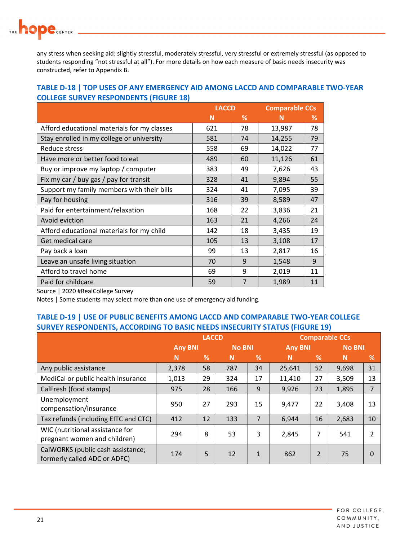any stress when seeking aid: slightly stressful, moderately stressful, very stressful or extremely stressful (as opposed to students responding "not stressful at all"). For more details on how each measure of basic needs insecurity was constructed, refer to Appendix B.

#### **TABLE D‐18 | TOP USES OF ANY EMERGENCY AID AMONG LACCD AND COMPARABLE TWO‐YEAR COLLEGE SURVEY RESPONDENTS (FIGURE 18)**

|                                             | <b>LACCD</b> |    | <b>Comparable CCs</b> |    |
|---------------------------------------------|--------------|----|-----------------------|----|
|                                             | N            | %  | N                     | %  |
| Afford educational materials for my classes | 621          | 78 | 13,987                | 78 |
| Stay enrolled in my college or university   | 581          | 74 | 14,255                | 79 |
| Reduce stress                               | 558          | 69 | 14,022                | 77 |
| Have more or better food to eat             | 489          | 60 | 11,126                | 61 |
| Buy or improve my laptop / computer         | 383          | 49 | 7,626                 | 43 |
| Fix my car / buy gas / pay for transit      | 328          | 41 | 9,894                 | 55 |
| Support my family members with their bills  | 324          | 41 | 7,095                 | 39 |
| Pay for housing                             | 316          | 39 | 8,589                 | 47 |
| Paid for entertainment/relaxation           | 168          | 22 | 3,836                 | 21 |
| Avoid eviction                              | 163          | 21 | 4,266                 | 24 |
| Afford educational materials for my child   | 142          | 18 | 3,435                 | 19 |
| Get medical care                            | 105          | 13 | 3,108                 | 17 |
| Pay back a loan                             | 99           | 13 | 2,817                 | 16 |
| Leave an unsafe living situation            | 70           | 9  | 1,548                 | 9  |
| Afford to travel home                       | 69           | 9  | 2,019                 | 11 |
| Paid for childcare                          | 59           | 7  | 1,989                 | 11 |

Source | 2020 #RealCollege Survey

Notes | Some students may select more than one use of emergency aid funding.

#### **TABLE D‐19 | USE OF PUBLIC BENEFITS AMONG LACCD AND COMPARABLE TWO‐YEAR COLLEGE SURVEY RESPONDENTS, ACCORDING TO BASIC NEEDS INSECURITY STATUS (FIGURE 19)**

|                                                                   | <b>LACCD</b>                    |    |                | <b>Comparable CCs</b> |               |                |       |                |
|-------------------------------------------------------------------|---------------------------------|----|----------------|-----------------------|---------------|----------------|-------|----------------|
|                                                                   | <b>Any BNI</b><br><b>No BNI</b> |    | <b>Any BNI</b> |                       | <b>No BNI</b> |                |       |                |
|                                                                   | N                               | %  | N              | %                     | N             | %              | N     | %              |
| Any public assistance                                             | 2,378                           | 58 | 787            | 34                    | 25,641        | 52             | 9,698 | 31             |
| MediCal or public health insurance                                | 1,013                           | 29 | 324            | 17                    | 11,410        | 27             | 3,509 | 13             |
| CalFresh (food stamps)                                            | 975                             | 28 | 166            | 9                     | 9,926         | 23             | 1,895 | $\overline{7}$ |
| Unemployment<br>compensation/insurance                            | 950                             | 27 | 293            | 15                    | 9,477         | 22             | 3,408 | 13             |
| Tax refunds (including EITC and CTC)                              | 412                             | 12 | 133            | 7                     | 6,944         | 16             | 2,683 | 10             |
| WIC (nutritional assistance for<br>pregnant women and children)   | 294                             | 8  | 53             | 3                     | 2,845         | 7              | 541   |                |
| CalWORKS (public cash assistance;<br>formerly called ADC or ADFC) | 174                             | 5  | 12             | $\mathbf{1}$          | 862           | $\overline{2}$ | 75    |                |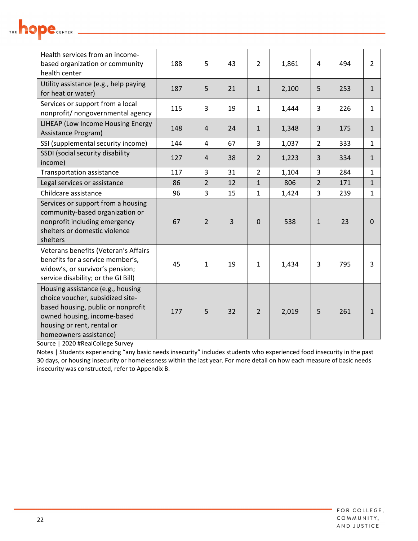| Health services from an income-<br>based organization or community<br>health center                                                                                                                | 188 | 5              | 43 | $\overline{2}$ | 1,861 | 4              | 494 | $\overline{2}$ |
|----------------------------------------------------------------------------------------------------------------------------------------------------------------------------------------------------|-----|----------------|----|----------------|-------|----------------|-----|----------------|
| Utility assistance (e.g., help paying<br>for heat or water)                                                                                                                                        | 187 | 5              | 21 | $\mathbf{1}$   | 2,100 | 5              | 253 | $\mathbf{1}$   |
| Services or support from a local<br>nonprofit/ nongovernmental agency                                                                                                                              | 115 | 3              | 19 | $\mathbf{1}$   | 1,444 | 3              | 226 | $\mathbf{1}$   |
| LIHEAP (Low Income Housing Energy<br>Assistance Program)                                                                                                                                           | 148 | $\overline{4}$ | 24 | $\mathbf{1}$   | 1,348 | 3              | 175 | $\mathbf{1}$   |
| SSI (supplemental security income)                                                                                                                                                                 | 144 | 4              | 67 | 3              | 1,037 | $\overline{2}$ | 333 | $\mathbf{1}$   |
| SSDI (social security disability<br>income)                                                                                                                                                        | 127 | 4              | 38 | $\overline{2}$ | 1,223 | 3              | 334 | $\mathbf{1}$   |
| <b>Transportation assistance</b>                                                                                                                                                                   | 117 | 3              | 31 | $\overline{2}$ | 1,104 | 3              | 284 | $\mathbf{1}$   |
| Legal services or assistance                                                                                                                                                                       | 86  | $\overline{2}$ | 12 | $\mathbf{1}$   | 806   | $\overline{2}$ | 171 | $\mathbf{1}$   |
| Childcare assistance                                                                                                                                                                               | 96  | 3              | 15 | $\mathbf{1}$   | 1,424 | 3              | 239 | $\mathbf{1}$   |
| Services or support from a housing<br>community-based organization or<br>nonprofit including emergency<br>shelters or domestic violence<br>shelters                                                | 67  | $\overline{2}$ | 3  | $\mathbf 0$    | 538   | $1\,$          | 23  | $\Omega$       |
| Veterans benefits (Veteran's Affairs<br>benefits for a service member's,<br>widow's, or survivor's pension;<br>service disability; or the GI Bill)                                                 | 45  | 1              | 19 | $\mathbf{1}$   | 1,434 | 3              | 795 | 3              |
| Housing assistance (e.g., housing<br>choice voucher, subsidized site-<br>based housing, public or nonprofit<br>owned housing, income-based<br>housing or rent, rental or<br>homeowners assistance) | 177 | 5              | 32 | $\overline{2}$ | 2,019 | 5              | 261 | $\mathbf{1}$   |

Source | 2020 #RealCollege Survey

Notes | Students experiencing "any basic needs insecurity" includes students who experienced food insecurity in the past 30 days, or housing insecurity or homelessness within the last year. For more detail on how each measure of basic needs insecurity was constructed, refer to Appendix B.

THE **hope** CENTER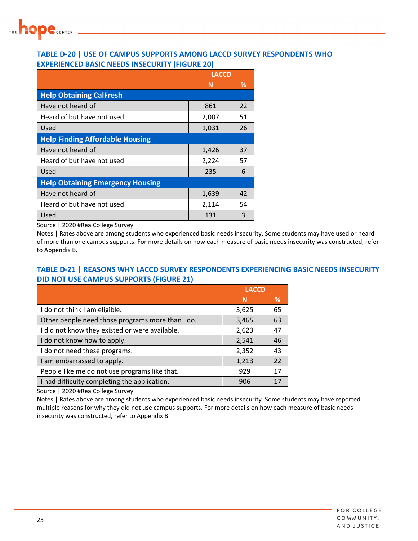

#### **TABLE D‐20 | USE OF CAMPUS SUPPORTS AMONG LACCD SURVEY RESPONDENTS WHO EXPERIENCED BASIC NEEDS INSECURITY (FIGURE 20)**

|                                         | <b>LACCD</b> |    |  |
|-----------------------------------------|--------------|----|--|
|                                         | N            | ℅  |  |
| <b>Help Obtaining CalFresh</b>          |              |    |  |
| Have not heard of                       | 861          | 22 |  |
| Heard of but have not used              | 2,007        | 51 |  |
| Used                                    | 1,031        | 26 |  |
| <b>Help Finding Affordable Housing</b>  |              |    |  |
| Have not heard of                       | 1,426        | 37 |  |
| Heard of but have not used              | 2,224        | 57 |  |
| Used                                    | 235          | 6  |  |
| <b>Help Obtaining Emergency Housing</b> |              |    |  |
| Have not heard of                       | 1,639        | 42 |  |
| Heard of but have not used              | 2,114        | 54 |  |
| Used                                    | 131          | 3  |  |

Source | 2020 #RealCollege Survey

Notes | Rates above are among students who experienced basic needs insecurity. Some students may have used or heard of more than one campus supports. For more details on how each measure of basic needs insecurity was constructed, refer to Appendix B.

#### **TABLE D‐21 | REASONS WHY LACCD SURVEY RESPONDENTS EXPERIENCING BASIC NEEDS INSECURITY DID NOT USE CAMPUS SUPPORTS (FIGURE 21)**

|                                                  | <b>LACCD</b> |    |
|--------------------------------------------------|--------------|----|
|                                                  | N            | %  |
| I do not think I am eligible.                    | 3,625        | 65 |
| Other people need those programs more than I do. | 3,465        | 63 |
| I did not know they existed or were available.   | 2,623        | 47 |
| I do not know how to apply.                      | 2,541        | 46 |
| I do not need these programs.                    | 2,352        | 43 |
| I am embarrassed to apply.                       | 1,213        | 22 |
| People like me do not use programs like that.    | 929          | 17 |
| I had difficulty completing the application.     | 906          | 17 |

Source | 2020 #RealCollege Survey

Notes | Rates above are among students who experienced basic needs insecurity. Some students may have reported multiple reasons for why they did not use campus supports. For more details on how each measure of basic needs insecurity was constructed, refer to Appendix B.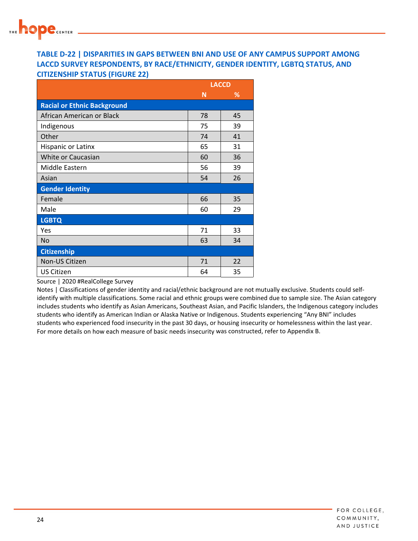

#### **TABLE D‐22 | DISPARITIES IN GAPS BETWEEN BNI AND USE OF ANY CAMPUS SUPPORT AMONG LACCD SURVEY RESPONDENTS, BY RACE/ETHNICITY, GENDER IDENTITY, LGBTQ STATUS, AND CITIZENSHIP STATUS (FIGURE 22)**

|                                    |    | <b>LACCD</b> |
|------------------------------------|----|--------------|
|                                    | N  | %            |
| <b>Racial or Ethnic Background</b> |    |              |
| African American or Black          | 78 | 45           |
| Indigenous                         | 75 | 39           |
| Other                              | 74 | 41           |
| Hispanic or Latinx                 | 65 | 31           |
| White or Caucasian                 | 60 | 36           |
| Middle Eastern                     | 56 | 39           |
| Asian                              | 54 | 26           |
| <b>Gender Identity</b>             |    |              |
| Female                             | 66 | 35           |
| Male                               | 60 | 29           |
| <b>LGBTQ</b>                       |    |              |
| Yes                                | 71 | 33           |
| <b>No</b>                          | 63 | 34           |
| <b>Citizenship</b>                 |    |              |
| Non-US Citizen                     | 71 | 22           |
| <b>US Citizen</b>                  | 64 | 35           |

Source | 2020 #RealCollege Survey

Notes | Classifications of gender identity and racial/ethnic background are not mutually exclusive. Students could selfidentify with multiple classifications. Some racial and ethnic groups were combined due to sample size. The Asian category includes students who identify as Asian Americans, Southeast Asian, and Pacific Islanders, the Indigenous category includes students who identify as American Indian or Alaska Native or Indigenous. Students experiencing "Any BNI" includes students who experienced food insecurity in the past 30 days, or housing insecurity or homelessness within the last year. For more details on how each measure of basic needs insecurity was constructed, refer to Appendix B.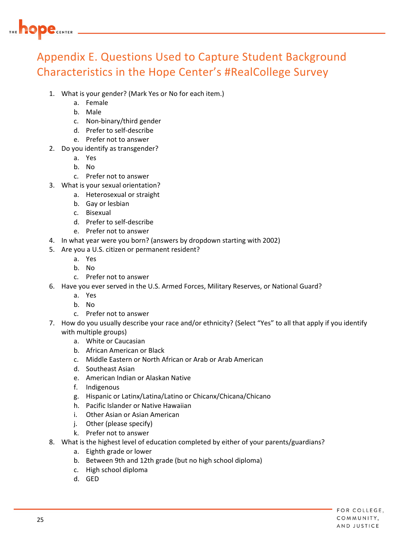

## Appendix E. Questions Used to Capture Student Background Characteristics in the Hope Center's #RealCollege Survey

- 1. What is your gender? (Mark Yes or No for each item.)
	- a. Female
	- b. Male
	- c. Non‐binary/third gender
	- d. Prefer to self‐describe
	- e. Prefer not to answer
- 2. Do you identify as transgender?
	- a. Yes
	- b. No
	- c. Prefer not to answer
- 3. What is your sexual orientation?
	- a. Heterosexual or straight
	- b. Gay or lesbian
	- c. Bisexual
	- d. Prefer to self‐describe
	- e. Prefer not to answer
- 4. In what year were you born? (answers by dropdown starting with 2002)
- 5. Are you a U.S. citizen or permanent resident?
	- a. Yes
	- b. No
	- c. Prefer not to answer
- 6. Have you ever served in the U.S. Armed Forces, Military Reserves, or National Guard?
	- a. Yes
	- b. No
	- c. Prefer not to answer
- 7. How do you usually describe your race and/or ethnicity? (Select "Yes" to all that apply if you identify with multiple groups)
	- a. White or Caucasian
	- b. African American or Black
	- c. Middle Eastern or North African or Arab or Arab American
	- d. Southeast Asian
	- e. American Indian or Alaskan Native
	- f. Indigenous
	- g. Hispanic or Latinx/Latina/Latino or Chicanx/Chicana/Chicano
	- h. Pacific Islander or Native Hawaiian
	- i. Other Asian or Asian American
	- j. Other (please specify)
	- k. Prefer not to answer
- 8. What is the highest level of education completed by either of your parents/guardians?
	- a. Eighth grade or lower
	- b. Between 9th and 12th grade (but no high school diploma)
	- c. High school diploma
	- d. GED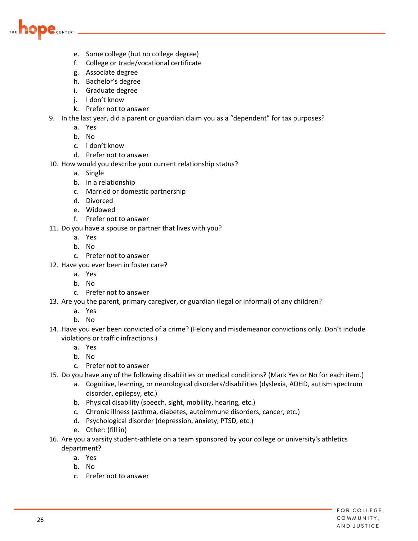

- e. Some college (but no college degree)
- f. College or trade/vocational certificate
- g. Associate degree
- h. Bachelor's degree
- i. Graduate degree
- j. I don't know
- k. Prefer not to answer
- 9. In the last year, did a parent or guardian claim you as a "dependent" for tax purposes?
	- a. Yes
	- b. No
	- c. I don't know
	- d. Prefer not to answer
- 10. How would you describe your current relationship status?
	- a. Single
	- b. In a relationship
	- c. Married or domestic partnership
	- d. Divorced
	- e. Widowed
	- f. Prefer not to answer
- 11. Do you have a spouse or partner that lives with you?
	- a. Yes
	- b. No
	- c. Prefer not to answer
- 12. Have you ever been in foster care?
	- a. Yes
	- b. No
	- c. Prefer not to answer
- 13. Are you the parent, primary caregiver, or guardian (legal or informal) of any children?
	- a. Yes
	- b. No
- 14. Have you ever been convicted of a crime? (Felony and misdemeanor convictions only. Don't include violations or traffic infractions.)
	- a. Yes
	- b. No
	- c. Prefer not to answer
- 15. Do you have any of the following disabilities or medical conditions? (Mark Yes or No for each item.)
	- a. Cognitive, learning, or neurological disorders/disabilities (dyslexia, ADHD, autism spectrum disorder, epilepsy, etc.)
	- b. Physical disability (speech, sight, mobility, hearing, etc.)
	- c. Chronic illness (asthma, diabetes, autoimmune disorders, cancer, etc.)
	- d. Psychological disorder (depression, anxiety, PTSD, etc.)
	- e. Other: (fill in)
- 16. Are you a varsity student‐athlete on a team sponsored by your college or university's athletics department?
	- a. Yes
	- b. No
	- c. Prefer not to answer